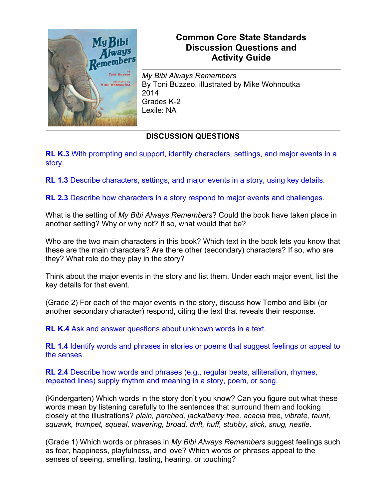

## **Common Core State Standards Discussion Questions and Activity Guide**

*My Bibi Always Remembers* By Toni Buzzeo, illustrated by Mike Wohnoutka 2014 Grades K-2 Lexile: NA

## **DISCUSSION QUESTIONS**

**RL K.3** With prompting and support, identify characters, settings, and major events in a story.

**RL 1.3** Describe characters, settings, and major events in a story, using key details.

**RL 2.3** Describe how characters in a story respond to major events and challenges.

What is the setting of *My Bibi Always Remembers*? Could the book have taken place in another setting? Why or why not? If so, what would that be?

Who are the two main characters in this book? Which text in the book lets you know that these are the main characters? Are there other (secondary) characters? If so, who are they? What role do they play in the story?

Think about the major events in the story and list them. Under each major event, list the key details for that event.

(Grade 2) For each of the major events in the story, discuss how Tembo and Bibi (or another secondary character) respond, citing the text that reveals their response.

**RL K.4** Ask and answer questions about unknown words in a text.

**RL 1.4** Identify words and phrases in stories or poems that suggest feelings or appeal to the senses.

**RL 2.4** Describe how words and phrases (e.g., regular beats, alliteration, rhymes, repeated lines) supply rhythm and meaning in a story, poem, or song.

(Kindergarten) Which words in the story don't you know? Can you figure out what these words mean by listening carefully to the sentences that surround them and looking closely at the illustrations? *plain, parched, jackalberry tree, acacia tree, vibrate, taunt, squawk, trumpet, squeal, wavering, broad, drift, huff, stubby, slick, snug, nestle.*

(Grade 1) Which words or phrases in *My Bibi Always Remembers* suggest feelings such as fear, happiness, playfulness, and love? Which words or phrases appeal to the senses of seeing, smelling, tasting, hearing, or touching?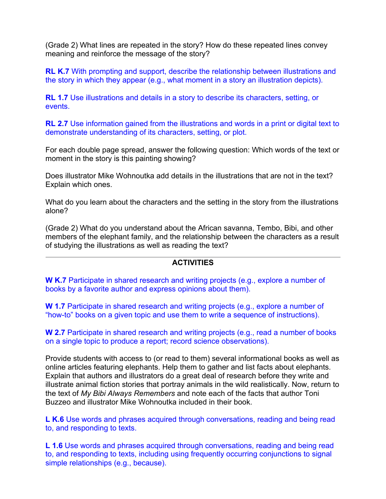(Grade 2) What lines are repeated in the story? How do these repeated lines convey meaning and reinforce the message of the story?

**RL K.7** With prompting and support, describe the relationship between illustrations and the story in which they appear (e.g., what moment in a story an illustration depicts).

**RL 1.7** Use illustrations and details in a story to describe its characters, setting, or events.

**RL 2.7** Use information gained from the illustrations and words in a print or digital text to demonstrate understanding of its characters, setting, or plot.

For each double page spread, answer the following question: Which words of the text or moment in the story is this painting showing?

Does illustrator Mike Wohnoutka add details in the illustrations that are not in the text? Explain which ones.

What do you learn about the characters and the setting in the story from the illustrations alone?

(Grade 2) What do you understand about the African savanna, Tembo, Bibi, and other members of the elephant family, and the relationship between the characters as a result of studying the illustrations as well as reading the text?

## **ACTIVITIES**

**W K.7** Participate in shared research and writing projects (e.g., explore a number of books by a favorite author and express opinions about them).

**W 1.7** Participate in shared research and writing projects (e.g., explore a number of "how-to" books on a given topic and use them to write a sequence of instructions).

**W 2.7** Participate in shared research and writing projects (e.g., read a number of books on a single topic to produce a report; record science observations).

Provide students with access to (or read to them) several informational books as well as online articles featuring elephants. Help them to gather and list facts about elephants. Explain that authors and illustrators do a great deal of research before they write and illustrate animal fiction stories that portray animals in the wild realistically. Now, return to the text of *My Bibi Always Remembers* and note each of the facts that author Toni Buzzeo and illustrator Mike Wohnoutka included in their book.

**L K.6** Use words and phrases acquired through conversations, reading and being read to, and responding to texts.

**L 1.6** Use words and phrases acquired through conversations, reading and being read to, and responding to texts, including using frequently occurring conjunctions to signal simple relationships (e.g., because).